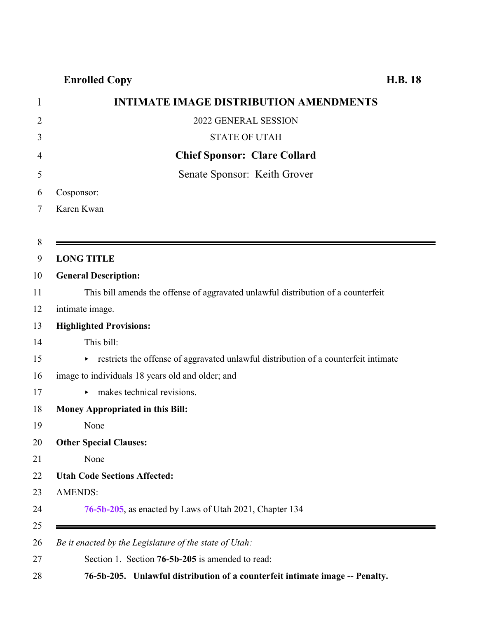## **Enrolled Copy H.B. 18**

| 1              | <b>INTIMATE IMAGE DISTRIBUTION AMENDMENTS</b>                                       |
|----------------|-------------------------------------------------------------------------------------|
| $\overline{2}$ | 2022 GENERAL SESSION                                                                |
| 3              | <b>STATE OF UTAH</b>                                                                |
| 4              | <b>Chief Sponsor: Clare Collard</b>                                                 |
| 5              | Senate Sponsor: Keith Grover                                                        |
| 6              | Cosponsor:                                                                          |
| 7              | Karen Kwan                                                                          |
|                |                                                                                     |
| 8              |                                                                                     |
| 9              | <b>LONG TITLE</b>                                                                   |
| 10             | <b>General Description:</b>                                                         |
| 11             | This bill amends the offense of aggravated unlawful distribution of a counterfeit   |
| 12             | intimate image.                                                                     |
| 13             | <b>Highlighted Provisions:</b>                                                      |
| 14             | This bill:                                                                          |
| 15             | restricts the offense of aggravated unlawful distribution of a counterfeit intimate |
| 16             | image to individuals 18 years old and older; and                                    |
| 17             | makes technical revisions.                                                          |
| 18             | Money Appropriated in this Bill:                                                    |
| 19             | None                                                                                |
| 20             | <b>Other Special Clauses:</b>                                                       |
| 21             | None                                                                                |
| 22             | <b>Utah Code Sections Affected:</b>                                                 |
| 23             | <b>AMENDS:</b>                                                                      |
| 24             | 76-5b-205, as enacted by Laws of Utah 2021, Chapter 134                             |
| 25             |                                                                                     |
| 26             | Be it enacted by the Legislature of the state of Utah:                              |
| 27             | Section 1. Section 76-5b-205 is amended to read:                                    |

<span id="page-0-0"></span>**76-5b-205. Unlawful distribution of a counterfeit intimate image -- Penalty.**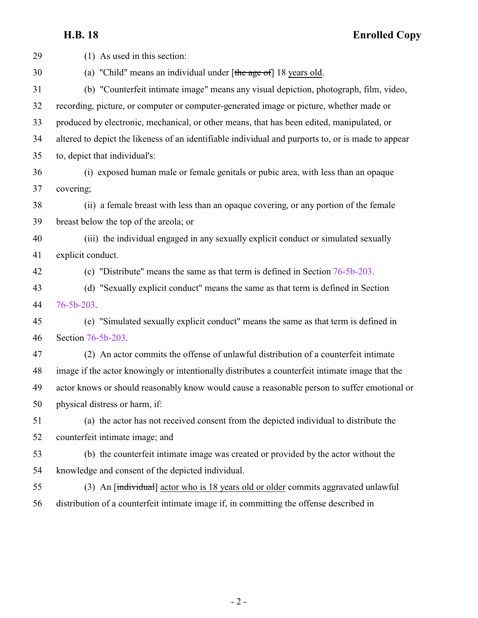**H.B. 18 Enrolled Copy**

| 29 | (1) As used in this section:                                                                       |
|----|----------------------------------------------------------------------------------------------------|
| 30 | (a) "Child" means an individual under $[\theta]$ the age of 18 years old.                          |
| 31 | (b) "Counterfeit intimate image" means any visual depiction, photograph, film, video,              |
| 32 | recording, picture, or computer or computer-generated image or picture, whether made or            |
| 33 | produced by electronic, mechanical, or other means, that has been edited, manipulated, or          |
| 34 | altered to depict the likeness of an identifiable individual and purports to, or is made to appear |
| 35 | to, depict that individual's:                                                                      |
| 36 | (i) exposed human male or female genitals or pubic area, with less than an opaque                  |
| 37 | covering;                                                                                          |
| 38 | (ii) a female breast with less than an opaque covering, or any portion of the female               |
| 39 | breast below the top of the areola; or                                                             |
| 40 | (iii) the individual engaged in any sexually explicit conduct or simulated sexually                |
| 41 | explicit conduct.                                                                                  |
| 42 | (c) "Distribute" means the same as that term is defined in Section $76-5b-203$ .                   |
| 43 | (d) "Sexually explicit conduct" means the same as that term is defined in Section                  |
| 44 | $76 - 5b - 203$ .                                                                                  |
| 45 | (e) "Simulated sexually explicit conduct" means the same as that term is defined in                |
| 46 | Section 76-5b-203.                                                                                 |
| 47 | (2) An actor commits the offense of unlawful distribution of a counterfeit intimate                |
| 48 | image if the actor knowingly or intentionally distributes a counterfeit intimate image that the    |
| 49 | actor knows or should reasonably know would cause a reasonable person to suffer emotional or       |
| 50 | physical distress or harm, if:                                                                     |
| 51 | (a) the actor has not received consent from the depicted individual to distribute the              |
| 52 | counterfeit intimate image; and                                                                    |
| 53 | (b) the counterfeit intimate image was created or provided by the actor without the                |
| 54 | knowledge and consent of the depicted individual.                                                  |
| 55 | (3) An [individual] actor who is 18 years old or older commits aggravated unlawful                 |
| 56 | distribution of a counterfeit intimate image if, in committing the offense described in            |
|    |                                                                                                    |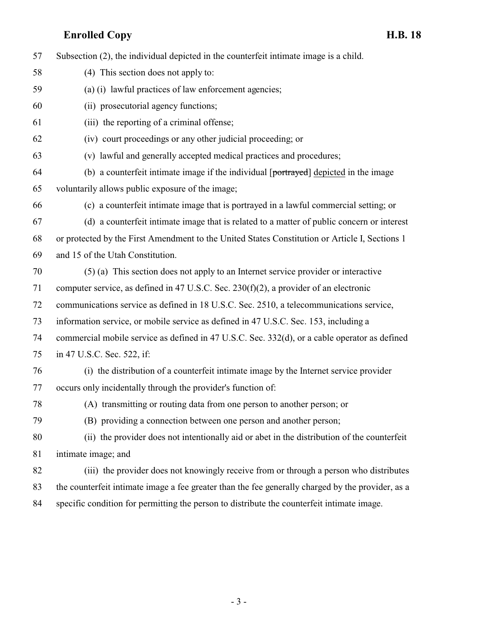**Enrolled Copy H.B. 18** Subsection (2), the individual depicted in the counterfeit intimate image is a child. (4) This section does not apply to: (a) (i) lawful practices of law enforcement agencies; (ii) prosecutorial agency functions; (iii) the reporting of a criminal offense; (iv) court proceedings or any other judicial proceeding; or (v) lawful and generally accepted medical practices and procedures; (b) a counterfeit intimate image if the individual  $[1]$  portrayed depicted in the image voluntarily allows public exposure of the image; (c) a counterfeit intimate image that is portrayed in a lawful commercial setting; or (d) a counterfeit intimate image that is related to a matter of public concern or interest or protected by the First Amendment to the United States Constitution or Article I, Sections 1 and 15 of the Utah Constitution. (5) (a) This section does not apply to an Internet service provider or interactive computer service, as defined in 47 U.S.C. Sec. 230(f)(2), a provider of an electronic communications service as defined in 18 U.S.C. Sec. 2510, a telecommunications service, information service, or mobile service as defined in 47 U.S.C. Sec. 153, including a commercial mobile service as defined in 47 U.S.C. Sec. 332(d), or a cable operator as defined in 47 U.S.C. Sec. 522, if: (i) the distribution of a counterfeit intimate image by the Internet service provider occurs only incidentally through the provider's function of: (A) transmitting or routing data from one person to another person; or (B) providing a connection between one person and another person; (ii) the provider does not intentionally aid or abet in the distribution of the counterfeit intimate image; and (iii) the provider does not knowingly receive from or through a person who distributes the counterfeit intimate image a fee greater than the fee generally charged by the provider, as a specific condition for permitting the person to distribute the counterfeit intimate image.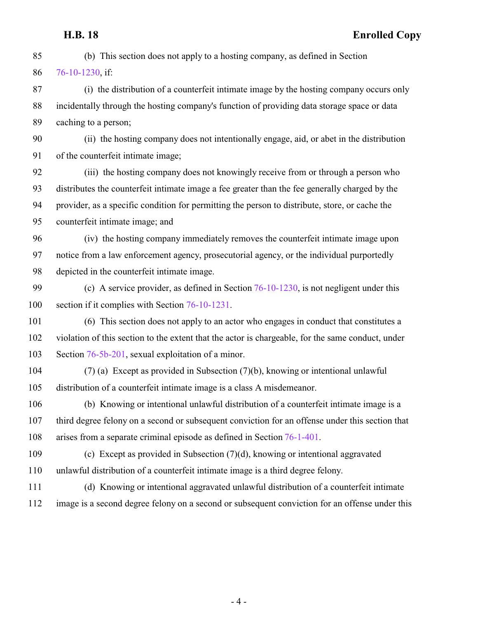**H.B. 18 Enrolled Copy** (b) This section does not apply to a hosting company, as defined in Section [76-10-1230](http://le.utah.gov/UtahCode/SectionLookup.jsp?section=76-10-1230&session=2022GS), if: (i) the distribution of a counterfeit intimate image by the hosting company occurs only incidentally through the hosting company's function of providing data storage space or data caching to a person; (ii) the hosting company does not intentionally engage, aid, or abet in the distribution of the counterfeit intimate image; (iii) the hosting company does not knowingly receive from or through a person who distributes the counterfeit intimate image a fee greater than the fee generally charged by the provider, as a specific condition for permitting the person to distribute, store, or cache the counterfeit intimate image; and (iv) the hosting company immediately removes the counterfeit intimate image upon notice from a law enforcement agency, prosecutorial agency, or the individual purportedly depicted in the counterfeit intimate image. (c) A service provider, as defined in Section [76-10-1230](http://le.utah.gov/UtahCode/SectionLookup.jsp?section=76-10-1230&session=2022GS), is not negligent under this section if it complies with Section [76-10-1231](http://le.utah.gov/UtahCode/SectionLookup.jsp?section=76-10-1231&session=2022GS). (6) This section does not apply to an actor who engages in conduct that constitutes a violation of this section to the extent that the actor is chargeable, for the same conduct, under Section [76-5b-201](http://le.utah.gov/UtahCode/SectionLookup.jsp?section=76-5b-201&session=2022GS), sexual exploitation of a minor. (7) (a) Except as provided in Subsection (7)(b), knowing or intentional unlawful distribution of a counterfeit intimate image is a class A misdemeanor. (b) Knowing or intentional unlawful distribution of a counterfeit intimate image is a third degree felony on a second or subsequent conviction for an offense under this section that arises from a separate criminal episode as defined in Section [76-1-401](http://le.utah.gov/UtahCode/SectionLookup.jsp?section=76-1-401&session=2022GS). (c) Except as provided in Subsection (7)(d), knowing or intentional aggravated unlawful distribution of a counterfeit intimate image is a third degree felony. (d) Knowing or intentional aggravated unlawful distribution of a counterfeit intimate image is a second degree felony on a second or subsequent conviction for an offense under this